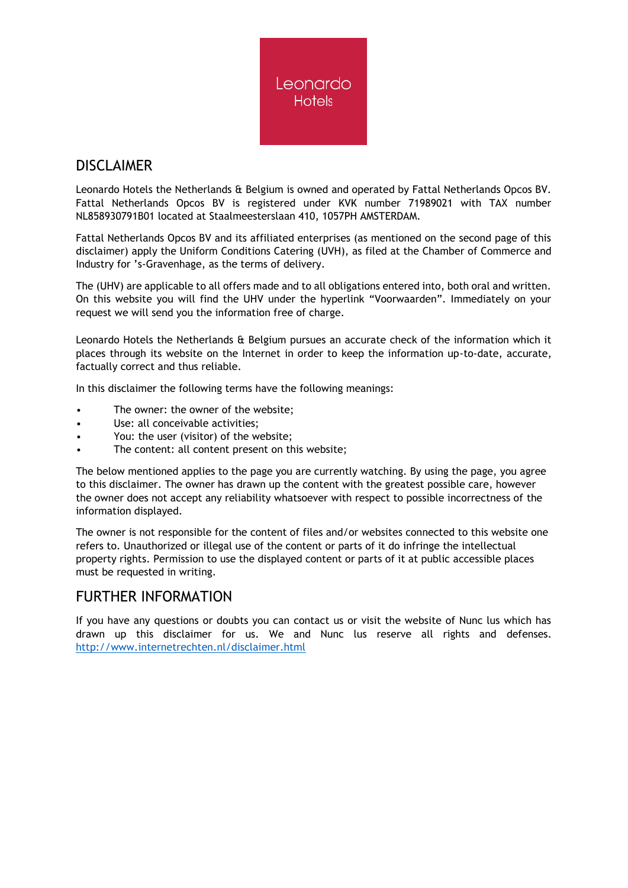

## DISCLAIMER

Leonardo Hotels the Netherlands & Belgium is owned and operated by Fattal Netherlands Opcos BV. Fattal Netherlands Opcos BV is registered under KVK number 71989021 with TAX number NL858930791B01 located at Staalmeesterslaan 410, 1057PH AMSTERDAM.

Fattal Netherlands Opcos BV and its affiliated enterprises (as mentioned on the second page of this disclaimer) apply the Uniform Conditions Catering (UVH), as filed at the Chamber of Commerce and Industry for 's-Gravenhage, as the terms of delivery.

The (UHV) are applicable to all offers made and to all obligations entered into, both oral and written. On this website you will find the UHV under the hyperlink "Voorwaarden". Immediately on your request we will send you the information free of charge.

Leonardo Hotels the Netherlands & Belgium pursues an accurate check of the information which it places through its website on the Internet in order to keep the information up-to-date, accurate, factually correct and thus reliable.

In this disclaimer the following terms have the following meanings:

- The owner: the owner of the website;
- Use: all conceivable activities:
- You: the user (visitor) of the website;
- The content: all content present on this website;

The below mentioned applies to the page you are currently watching. By using the page, you agree to this disclaimer. The owner has drawn up the content with the greatest possible care, however the owner does not accept any reliability whatsoever with respect to possible incorrectness of the information displayed.

The owner is not responsible for the content of files and/or websites connected to this website one refers to. Unauthorized or illegal use of the content or parts of it do infringe the intellectual property rights. Permission to use the displayed content or parts of it at public accessible places must be requested in writing.

## FURTHER INFORMATION

If you have any questions or doubts you can contact us or visit the website of Nunc lus which has drawn up this disclaimer for us. We and Nunc lus reserve all rights and defenses. <http://www.internetrechten.nl/disclaimer.html>